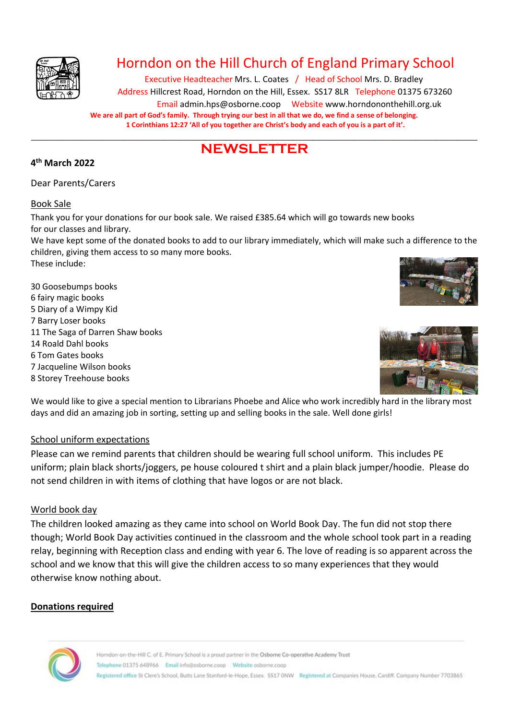

### Horndon on the Hill Church of England Primary School

Executive Headteacher Mrs. L. Coates / Head of School Mrs. D. Bradley Address Hillcrest Road, Horndon on the Hill, Essex. SS17 8LR Telephone 01375 673260 Email admin.hps@osborne.coop Websit[e www.horndononthehill.org.uk](http://www.horndononthehill.org.uk/) **We are all part of God's family. Through trying our best in all that we do, we find a sense of belonging. 1 Corinthians 12:27 'All of you together are Christ's body and each of you is a part of it'.**

#### \_\_\_\_\_\_\_\_\_\_\_\_\_\_\_\_\_\_\_\_\_\_\_\_\_\_\_\_\_\_\_\_\_\_\_\_\_\_\_\_\_\_\_\_\_\_\_\_\_\_\_\_\_\_\_\_\_\_\_\_\_\_\_\_\_\_\_\_\_\_\_\_\_\_\_\_\_\_\_\_\_\_\_\_\_\_\_ **NEWSLETTER**

#### **4 th March 2022**

Dear Parents/Carers

#### Book Sale

Thank you for your donations for our book sale. We raised £385.64 which will go towards new books for our classes and library.

We have kept some of the donated books to add to our library immediately, which will make such a difference to the children, giving them access to so many more books.

These include:

30 Goosebumps books 6 fairy magic books 5 Diary of a Wimpy Kid 7 Barry Loser books 11 The Saga of Darren Shaw books 14 Roald Dahl books 6 Tom Gates books 7 Jacqueline Wilson books 8 Storey Treehouse books





We would like to give a special mention to Librarians Phoebe and Alice who work incredibly hard in the library most days and did an amazing job in sorting, setting up and selling books in the sale. Well done girls!

#### School uniform expectations

Please can we remind parents that children should be wearing full school uniform. This includes PE uniform; plain black shorts/joggers, pe house coloured t shirt and a plain black jumper/hoodie. Please do not send children in with items of clothing that have logos or are not black.

#### World book day

The children looked amazing as they came into school on World Book Day. The fun did not stop there though; World Book Day activities continued in the classroom and the whole school took part in a reading relay, beginning with Reception class and ending with year 6. The love of reading is so apparent across the school and we know that this will give the children access to so many experiences that they would otherwise know nothing about.

#### **Donations required**

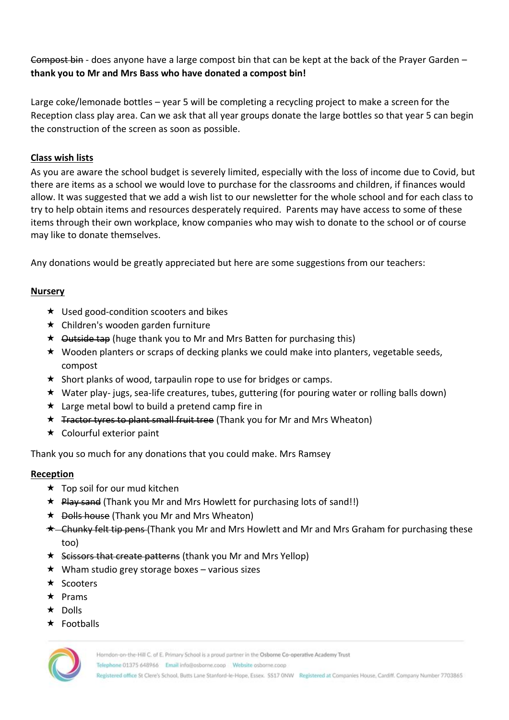Compost bin - does anyone have a large compost bin that can be kept at the back of the Prayer Garden – **thank you to Mr and Mrs Bass who have donated a compost bin!**

Large coke/lemonade bottles – year 5 will be completing a recycling project to make a screen for the Reception class play area. Can we ask that all year groups donate the large bottles so that year 5 can begin the construction of the screen as soon as possible.

#### **Class wish lists**

As you are aware the school budget is severely limited, especially with the loss of income due to Covid, but there are items as a school we would love to purchase for the classrooms and children, if finances would allow. It was suggested that we add a wish list to our newsletter for the whole school and for each class to try to help obtain items and resources desperately required. Parents may have access to some of these items through their own workplace, know companies who may wish to donate to the school or of course may like to donate themselves.

Any donations would be greatly appreciated but here are some suggestions from our teachers:

#### **Nursery**

- $\star$  Used good-condition scooters and bikes
- $\star$  Children's wooden garden furniture
- $\star$  Outside tap (huge thank you to Mr and Mrs Batten for purchasing this)
- $\star$  Wooden planters or scraps of decking planks we could make into planters, vegetable seeds, compost
- $\star$  Short planks of wood, tarpaulin rope to use for bridges or camps.
- Water play- jugs, sea-life creatures, tubes, guttering (for pouring water or rolling balls down)
- $\star$  Large metal bowl to build a pretend camp fire in
- $\star$  Tractor tyres to plant small fruit tree (Thank you for Mr and Mrs Wheaton)
- $\star$  Colourful exterior paint

Thank you so much for any donations that you could make. Mrs Ramsey

#### **Reception**

- $\star$  Top soil for our mud kitchen
- $\star$  Play sand (Thank you Mr and Mrs Howlett for purchasing lots of sand!!)
- $\star$  Dolls house (Thank you Mr and Mrs Wheaton)
- $\star$  Chunky felt tip pens (Thank you Mr and Mrs Howlett and Mr and Mrs Graham for purchasing these too)
- \* Scissors that create patterns (thank you Mr and Mrs Yellop)
- $\star$  Wham studio grey storage boxes various sizes
- $\star$  Scooters
- $\star$  Prams
- $\star$  Dolls
- $\star$  Footballs

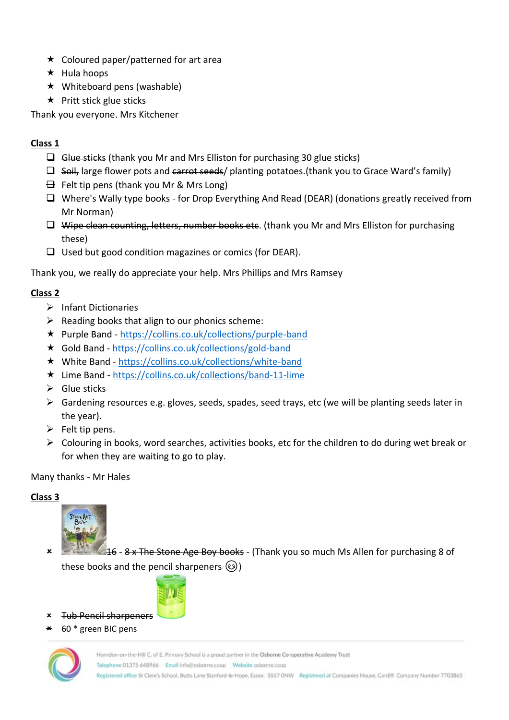- $\star$  Coloured paper/patterned for art area
- $\star$  Hula hoops
- $\star$  Whiteboard pens (washable)
- $\star$  Pritt stick glue sticks

Thank you everyone. Mrs Kitchener

#### **Class 1**

- $\Box$  Glue sticks (thank you Mr and Mrs Elliston for purchasing 30 glue sticks)
- $\Box$  Soil, large flower pots and carrot seeds/ planting potatoes. (thank you to Grace Ward's family)
- $\exists$  Felt tip pens (thank you Mr & Mrs Long)
- ❑ Where's Wally type books for Drop Everything And Read (DEAR) (donations greatly received from Mr Norman)
- $\Box$  Wipe clean counting, letters, number books etc. (thank you Mr and Mrs Elliston for purchasing these)
- ❑ Used but good condition magazines or comics (for DEAR).

Thank you, we really do appreciate your help. Mrs Phillips and Mrs Ramsey

#### **Class 2**

- ➢ Infant Dictionaries
- $\triangleright$  Reading books that align to our phonics scheme:
- Purple Band <https://collins.co.uk/collections/purple-band>
- Gold Band <https://collins.co.uk/collections/gold-band>
- White Band <https://collins.co.uk/collections/white-band>
- Lime Band <https://collins.co.uk/collections/band-11-lime>
- $\triangleright$  Glue sticks
- $\triangleright$  Gardening resources e.g. gloves, seeds, spades, seed trays, etc (we will be planting seeds later in the year).
- $\triangleright$  Felt tip pens.
- $\triangleright$  Colouring in books, word searches, activities books, etc for the children to do during wet break or for when they are waiting to go to play.

#### Many thanks - Mr Hales

#### **Class 3**



 16 - 8 x The Stone Age Boy books - (Thank you so much Ms Allen for purchasing 8 of these books and the pencil sharpeners  $\circled{e}$ )



- Tub Pencil sharpeners
- 60 \* green BIC pens

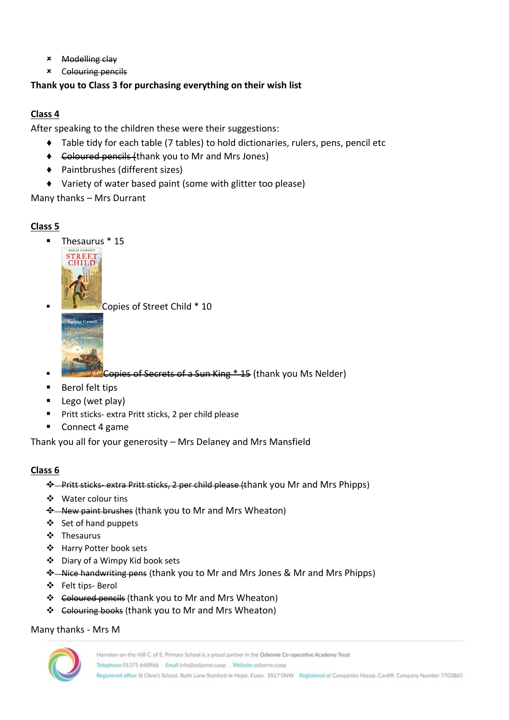- Modelling clay
- Colouring pencils

#### **Thank you to Class 3 for purchasing everything on their wish list**

#### **Class 4**

After speaking to the children these were their suggestions:

- ♦ Table tidy for each table (7 tables) to hold dictionaries, rulers, pens, pencil etc
- ♦ Coloured pencils (thank you to Mr and Mrs Jones)
- ♦ Paintbrushes (different sizes)
- ♦ Variety of water based paint (some with glitter too please)

Many thanks – Mrs Durrant

#### **Class 5**

Thesaurus \* 15



Copies of Street Child \* 10



Expies of Secrets of a Sun King \* 15 (thank you Ms Nelder)

- Berol felt tips
- Lego (wet play)
- Pritt sticks- extra Pritt sticks, 2 per child please
- Connect 4 game

Thank you all for your generosity – Mrs Delaney and Mrs Mansfield

#### **Class 6**

- ❖ Pritt sticks- extra Pritt sticks, 2 per child please (thank you Mr and Mrs Phipps)
- ❖ Water colour tins
- ❖ New paint brushes (thank you to Mr and Mrs Wheaton)
- ❖ Set of hand puppets
- ❖ Thesaurus
- ❖ Harry Potter book sets
- ❖ Diary of a Wimpy Kid book sets
- ❖ Nice handwriting pens (thank you to Mr and Mrs Jones & Mr and Mrs Phipps)
- ❖ Felt tips- Berol
- ❖ Coloured pencils (thank you to Mr and Mrs Wheaton)
- ❖ Colouring books (thank you to Mr and Mrs Wheaton)

#### Many thanks - Mrs M

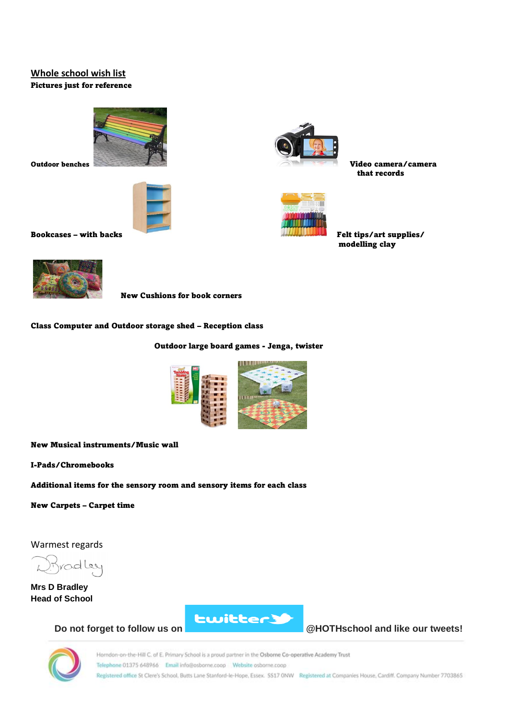#### **Whole school wish list**  Pictures just for reference





that records



modelling clay

Bookcases – with backs Felt tips/art supplies/



New Cushions for book corners

Class Computer and Outdoor storage shed – Reception class

Outdoor large board games - Jenga, twister



New Musical instruments/Music wall

I-Pads/Chromebooks

Additional items for the sensory room and sensory items for each class

New Carpets – Carpet time

Warmest regards

Bradley  $\sim$ 

**Mrs D Bradley Head of School**



**Do not forget to follow us on @HOTHschool and like our tweets!**

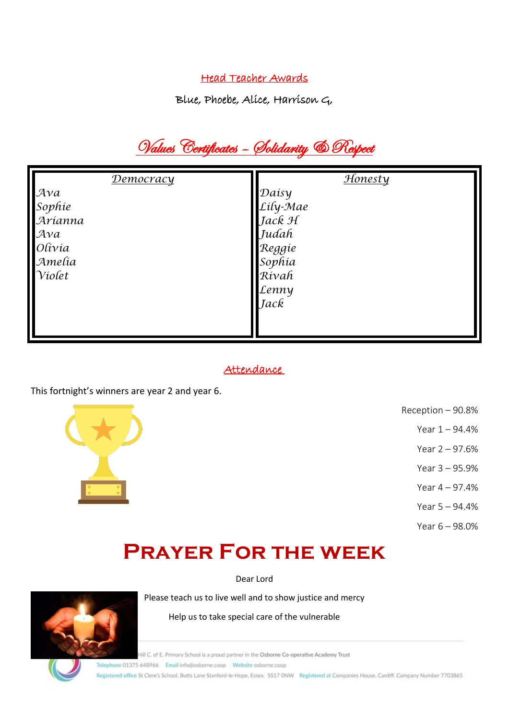#### Head Teacher Awards

Blue, Phoebe, Alice, Harrison G,

## Values Certificates – Solidarity & Respect

| <b>Democracy</b>                                                                      | Honesty                                                                            |
|---------------------------------------------------------------------------------------|------------------------------------------------------------------------------------|
| $A\mathcal{V}a$<br>Sophie<br>Arianna<br>$A\mathcal{V}a$<br>Olivia<br>Amelia<br>Violet | Daisy<br>Lily-Mae<br>Jack H<br>Judah<br>Reggie<br>Sophia<br>Rívah<br>Lenny<br>Jack |
|                                                                                       |                                                                                    |

#### Attendance

This fortnight's winners are year 2 and year 6.



- Reception 90.8%
	- Year 1 94.4%
	- Year 2 97.6%
	- Year 3 95.9%
	- Year 4 97.4%
	- Year 5 94.4%
	- Year 6 98.0%

## **Prayer For the week**

Dear Lord

Please teach us to live well and to show justice and mercy

Help us to take special care of the vulnerable

Hill C. of E. Primary School is a proud partner in the Osborne Co-operative Academy Trust

Telephone 01375 648966 Email info@osborne.coop Website osborne.coop

Registered office St Clere's School, Butts Lane Stanford-le-Hope, Essex. SS17 ONW Registered at Companies House, Cardiff. Company Number 7703865

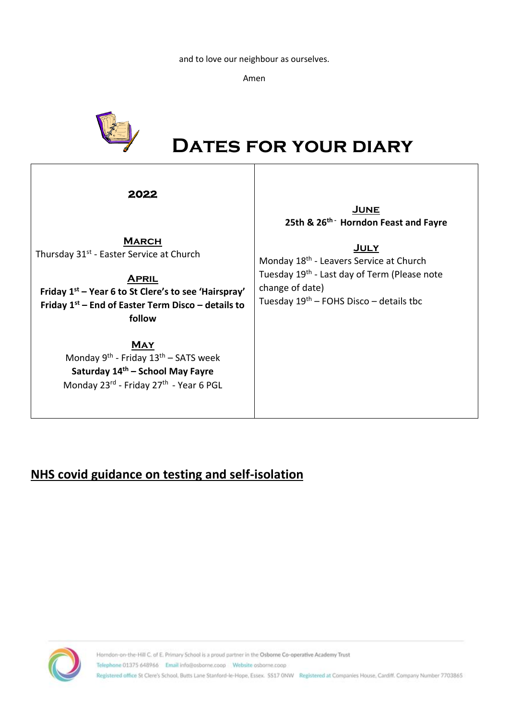and to love our neighbour as ourselves.

Amen



# *DATES FOR YOUR DIARY*

| 2022                                                                                                                                                                                                                       | <b>JUNE</b><br>25th & 26 <sup>th -</sup> Horndon Feast and Fayre                                                                                                                               |
|----------------------------------------------------------------------------------------------------------------------------------------------------------------------------------------------------------------------------|------------------------------------------------------------------------------------------------------------------------------------------------------------------------------------------------|
| <b>MARCH</b><br>Thursday 31 <sup>st</sup> - Easter Service at Church<br><b>APRIL</b><br>Friday 1 <sup>st</sup> – Year 6 to St Clere's to see 'Hairspray'<br>Friday $1st$ – End of Easter Term Disco – details to<br>follow | <u>JULY</u><br>Monday 18 <sup>th</sup> - Leavers Service at Church<br>Tuesday 19 <sup>th</sup> - Last day of Term (Please note<br>change of date)<br>Tuesday $19th$ – FOHS Disco – details tbc |
| <b>MAY</b><br>Monday 9 <sup>th</sup> - Friday 13 <sup>th</sup> – SATS week<br>Saturday 14th - School May Fayre<br>Monday 23rd - Friday 27th - Year 6 PGL                                                                   |                                                                                                                                                                                                |

#### **NHS covid guidance on testing and self-isolation**

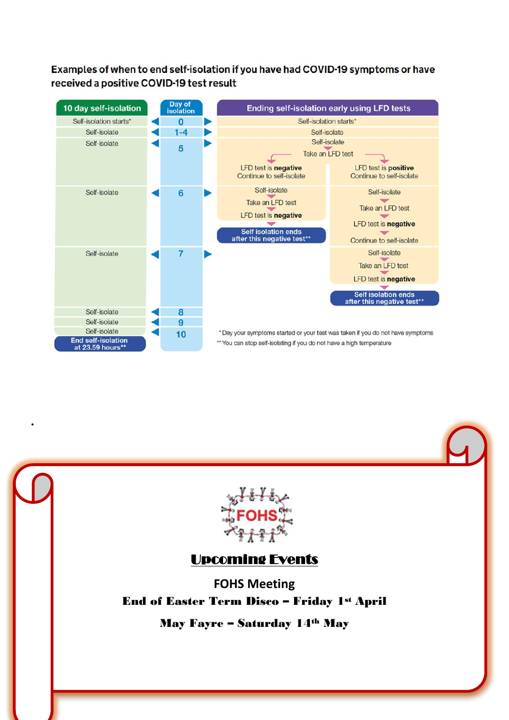#### Examples of when to end self-isolation if you have had COVID-19 symptoms or have received a positive COVID-19 test result



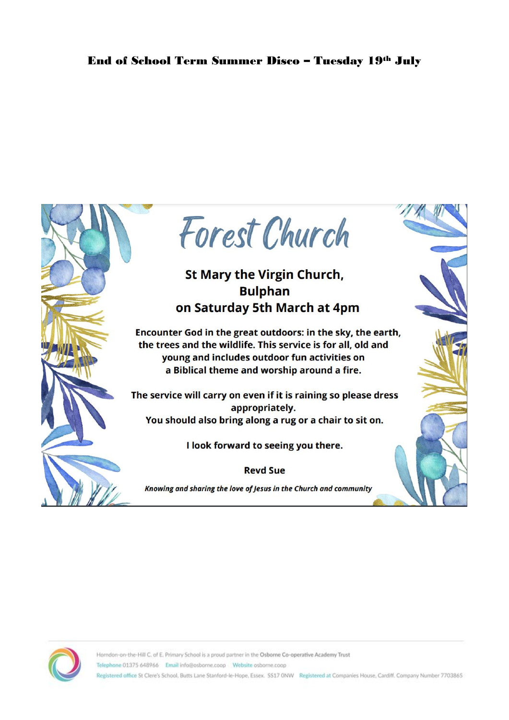